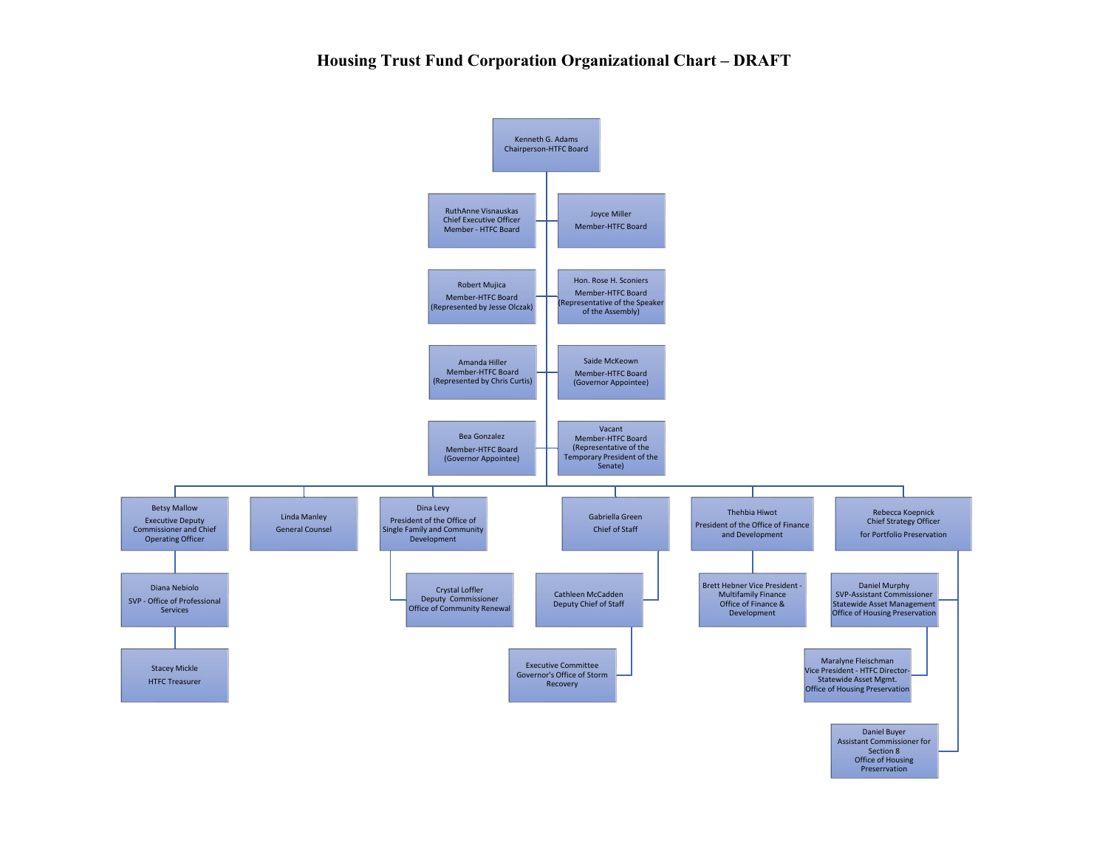